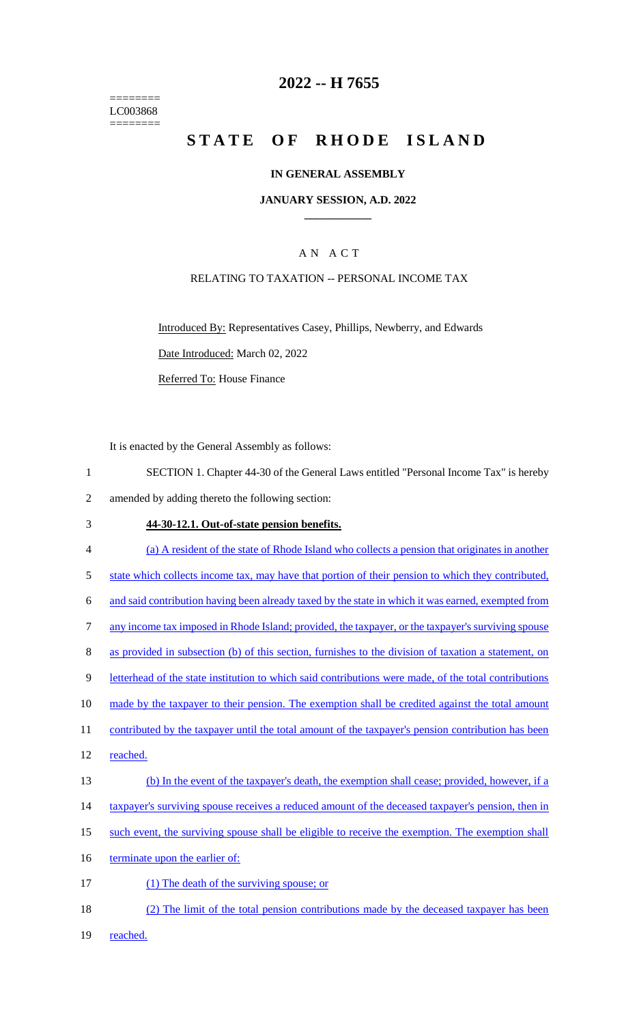======== LC003868 ========

# **2022 -- H 7655**

# **STATE OF RHODE ISLAND**

#### **IN GENERAL ASSEMBLY**

#### **JANUARY SESSION, A.D. 2022 \_\_\_\_\_\_\_\_\_\_\_\_**

## A N A C T

#### RELATING TO TAXATION -- PERSONAL INCOME TAX

Introduced By: Representatives Casey, Phillips, Newberry, and Edwards Date Introduced: March 02, 2022

Referred To: House Finance

It is enacted by the General Assembly as follows:

1 SECTION 1. Chapter 44-30 of the General Laws entitled "Personal Income Tax" is hereby 2 amended by adding thereto the following section:

#### 3 **44-30-12.1. Out-of-state pension benefits.**

4 (a) A resident of the state of Rhode Island who collects a pension that originates in another 5 state which collects income tax, may have that portion of their pension to which they contributed, 6 and said contribution having been already taxed by the state in which it was earned, exempted from 7 any income tax imposed in Rhode Island; provided, the taxpayer, or the taxpayer's surviving spouse 8 as provided in subsection (b) of this section, furnishes to the division of taxation a statement, on 9 letterhead of the state institution to which said contributions were made, of the total contributions 10 made by the taxpayer to their pension. The exemption shall be credited against the total amount 11 contributed by the taxpayer until the total amount of the taxpayer's pension contribution has been 12 reached. 13 (b) In the event of the taxpayer's death, the exemption shall cease; provided, however, if a 14 taxpayer's surviving spouse receives a reduced amount of the deceased taxpayer's pension, then in 15 such event, the surviving spouse shall be eligible to receive the exemption. The exemption shall 16 terminate upon the earlier of: 17 (1) The death of the surviving spouse; or 18 (2) The limit of the total pension contributions made by the deceased taxpayer has been

19 reached.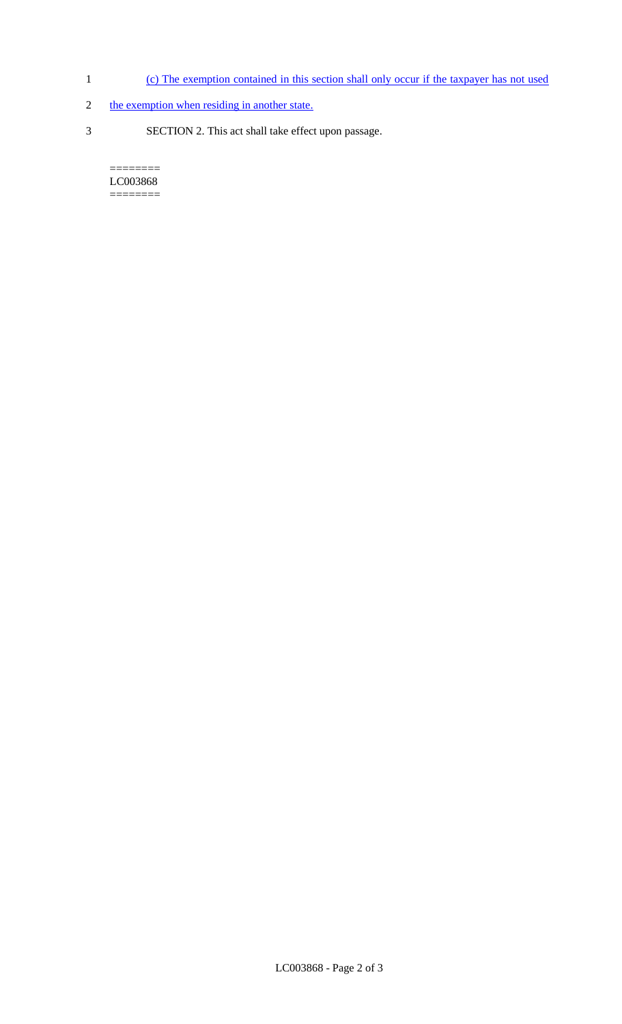- 1 (c) The exemption contained in this section shall only occur if the taxpayer has not used
- 2 the exemption when residing in another state.
- 3 SECTION 2. This act shall take effect upon passage.

 $=$ LC003868 ========